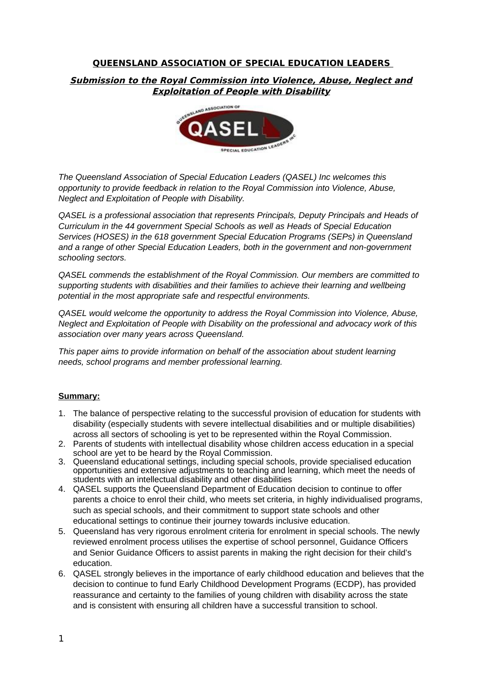# **QUEENSLAND ASSOCIATION OF SPECIAL EDUCATION LEADERS**

## **Submission to the Royal Commission into Violence, Abuse, Neglect and Exploitation of People with Disability**



*The Queensland Association of Special Education Leaders (QASEL) Inc welcomes this opportunity to provide feedback in relation to the Royal Commission into Violence, Abuse, Neglect and Exploitation of People with Disability.*

*QASEL is a professional association that represents Principals, Deputy Principals and Heads of Curriculum in the 44 government Special Schools as well as Heads of Special Education Services (HOSES) in the 618 government Special Education Programs (SEPs) in Queensland and a range of other Special Education Leaders, both in the government and non-government schooling sectors.* 

*QASEL commends the establishment of the Royal Commission. Our members are committed to supporting students with disabilities and their families to achieve their learning and wellbeing potential in the most appropriate safe and respectful environments.*

*QASEL would welcome the opportunity to address the Royal Commission into Violence, Abuse, Neglect and Exploitation of People with Disability on the professional and advocacy work of this association over many years across Queensland.*

*This paper aims to provide information on behalf of the association about student learning needs, school programs and member professional learning.*

#### **Summary:**

- 1. The balance of perspective relating to the successful provision of education for students with disability (especially students with severe intellectual disabilities and or multiple disabilities) across all sectors of schooling is yet to be represented within the Royal Commission.
- 2. Parents of students with intellectual disability whose children access education in a special school are yet to be heard by the Royal Commission.
- 3. Queensland educational settings, including special schools, provide specialised education opportunities and extensive adjustments to teaching and learning, which meet the needs of students with an intellectual disability and other disabilities
- 4. QASEL supports the Queensland Department of Education decision to continue to offer parents a choice to enrol their child, who meets set criteria, in highly individualised programs, such as special schools, and their commitment to support state schools and other educational settings to continue their journey towards inclusive education.
- 5. Queensland has very rigorous enrolment criteria for enrolment in special schools. The newly reviewed enrolment process utilises the expertise of school personnel, Guidance Officers and Senior Guidance Officers to assist parents in making the right decision for their child's education.
- 6. QASEL strongly believes in the importance of early childhood education and believes that the decision to continue to fund Early Childhood Development Programs (ECDP), has provided reassurance and certainty to the families of young children with disability across the state and is consistent with ensuring all children have a successful transition to school.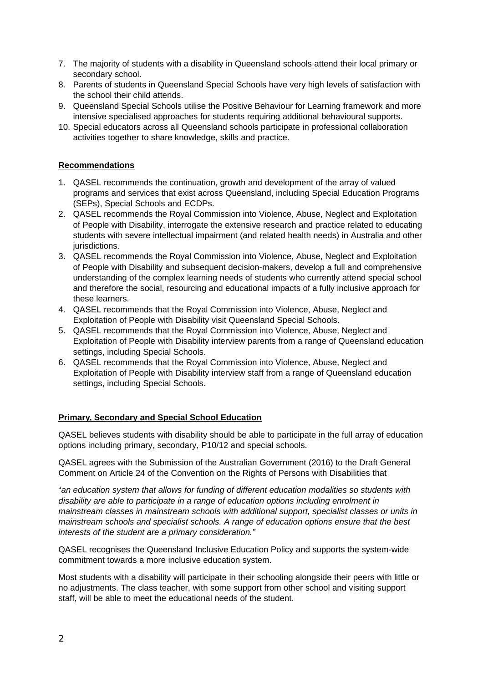- 7. The majority of students with a disability in Queensland schools attend their local primary or secondary school.
- 8. Parents of students in Queensland Special Schools have very high levels of satisfaction with the school their child attends.
- 9. Queensland Special Schools utilise the Positive Behaviour for Learning framework and more intensive specialised approaches for students requiring additional behavioural supports.
- 10. Special educators across all Queensland schools participate in professional collaboration activities together to share knowledge, skills and practice.

#### **Recommendations**

- 1. QASEL recommends the continuation, growth and development of the array of valued programs and services that exist across Queensland, including Special Education Programs (SEPs), Special Schools and ECDPs.
- 2. QASEL recommends the Royal Commission into Violence, Abuse, Neglect and Exploitation of People with Disability, interrogate the extensive research and practice related to educating students with severe intellectual impairment (and related health needs) in Australia and other jurisdictions.
- 3. QASEL recommends the Royal Commission into Violence, Abuse, Neglect and Exploitation of People with Disability and subsequent decision-makers, develop a full and comprehensive understanding of the complex learning needs of students who currently attend special school and therefore the social, resourcing and educational impacts of a fully inclusive approach for these learners.
- 4. QASEL recommends that the Royal Commission into Violence, Abuse, Neglect and Exploitation of People with Disability visit Queensland Special Schools.
- 5. QASEL recommends that the Royal Commission into Violence, Abuse, Neglect and Exploitation of People with Disability interview parents from a range of Queensland education settings, including Special Schools.
- 6. QASEL recommends that the Royal Commission into Violence, Abuse, Neglect and Exploitation of People with Disability interview staff from a range of Queensland education settings, including Special Schools.

#### **Primary, Secondary and Special School Education**

QASEL believes students with disability should be able to participate in the full array of education options including primary, secondary, P10/12 and special schools.

QASEL agrees with the Submission of the Australian Government (2016) to the Draft General Comment on Article 24 of the Convention on the Rights of Persons with Disabilities that

"*an education system that allows for funding of different education modalities so students with disability are able to participate in a range of education options including enrolment in mainstream classes in mainstream schools with additional support, specialist classes or units in mainstream schools and specialist schools. A range of education options ensure that the best interests of the student are a primary consideration."*

QASEL recognises the Queensland Inclusive Education Policy and supports the system-wide commitment towards a more inclusive education system.

Most students with a disability will participate in their schooling alongside their peers with little or no adjustments. The class teacher, with some support from other school and visiting support staff, will be able to meet the educational needs of the student.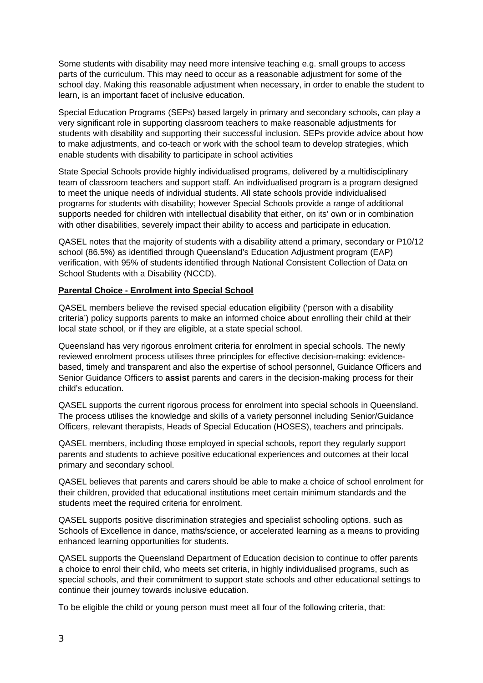Some students with disability may need more intensive teaching e.g. small groups to access parts of the curriculum. This may need to occur as a reasonable adjustment for some of the school day. Making this reasonable adjustment when necessary, in order to enable the student to learn, is an important facet of inclusive education.

Special Education Programs (SEPs) based largely in primary and secondary schools, can play a very significant role in supporting classroom teachers to make reasonable adjustments for students with disability and supporting their successful inclusion. SEPs provide advice about how to make adjustments, and co-teach or work with the school team to develop strategies, which enable students with disability to participate in school activities

State Special Schools provide highly individualised programs, delivered by a multidisciplinary team of classroom teachers and support staff. An individualised program is a program designed to meet the unique needs of individual students. All state schools provide individualised programs for students with disability; however Special Schools provide a range of additional supports needed for children with intellectual disability that either, on its' own or in combination with other disabilities, severely impact their ability to access and participate in education.

QASEL notes that the majority of students with a disability attend a primary, secondary or P10/12 school (86.5%) as identified through Queensland's Education Adjustment program (EAP) verification, with 95% of students identified through National Consistent Collection of Data on School Students with a Disability (NCCD).

## **Parental Choice - Enrolment into Special School**

QASEL members believe the revised special education eligibility ('person with a disability criteria') policy supports parents to make an informed choice about enrolling their child at their local state school, or if they are eligible, at a state special school.

Queensland has very rigorous enrolment criteria for enrolment in special schools. The newly reviewed enrolment process utilises three principles for effective decision-making: evidencebased, timely and transparent and also the expertise of school personnel, Guidance Officers and Senior Guidance Officers to **assist** parents and carers in the decision-making process for their child's education.

QASEL supports the current rigorous process for enrolment into special schools in Queensland. The process utilises the knowledge and skills of a variety personnel including Senior/Guidance Officers, relevant therapists, Heads of Special Education (HOSES), teachers and principals.

QASEL members, including those employed in special schools, report they regularly support parents and students to achieve positive educational experiences and outcomes at their local primary and secondary school.

QASEL believes that parents and carers should be able to make a choice of school enrolment for their children, provided that educational institutions meet certain minimum standards and the students meet the required criteria for enrolment.

QASEL supports positive discrimination strategies and specialist schooling options. such as Schools of Excellence in dance, maths/science, or accelerated learning as a means to providing enhanced learning opportunities for students.

QASEL supports the Queensland Department of Education decision to continue to offer parents a choice to enrol their child, who meets set criteria, in highly individualised programs, such as special schools, and their commitment to support state schools and other educational settings to continue their journey towards inclusive education.

To be eligible the child or young person must meet all four of the following criteria, that: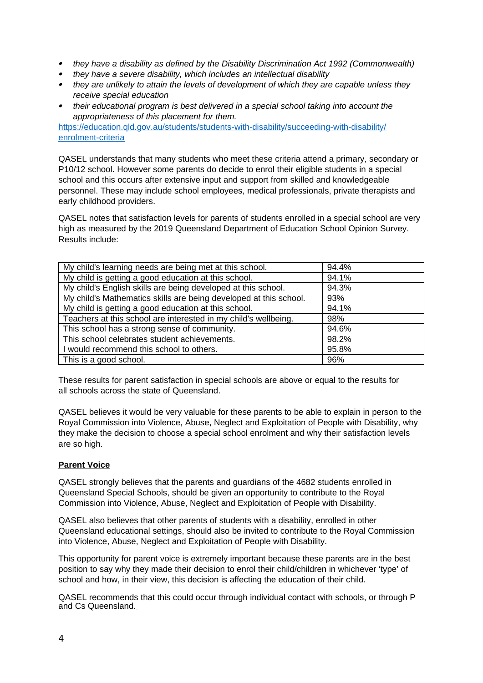- *they have a disability as defined by the Disability Discrimination Act 1992 (Commonwealth)*
- *they have a severe disability, which includes an intellectual disability*
- *they are unlikely to attain the levels of development of which they are capable unless they receive special education*
- *their educational program is best delivered in a special school taking into account the appropriateness of this placement for them.*

[https://education.qld.gov.au/students/students-with-disability/succeeding-with-disability/](https://education.qld.gov.au/students/students-with-disability/succeeding-with-disability/enrolment-criteria) [enrolment-criteria](https://education.qld.gov.au/students/students-with-disability/succeeding-with-disability/enrolment-criteria)

QASEL understands that many students who meet these criteria attend a primary, secondary or P10/12 school. However some parents do decide to enrol their eligible students in a special school and this occurs after extensive input and support from skilled and knowledgeable personnel. These may include school employees, medical professionals, private therapists and early childhood providers.

QASEL notes that satisfaction levels for parents of students enrolled in a special school are very high as measured by the 2019 Queensland Department of Education School Opinion Survey. Results include:

| My child's learning needs are being met at this school.           | 94.4% |
|-------------------------------------------------------------------|-------|
| My child is getting a good education at this school.              | 94.1% |
| My child's English skills are being developed at this school.     | 94.3% |
| My child's Mathematics skills are being developed at this school. | 93%   |
| My child is getting a good education at this school.              | 94.1% |
| Teachers at this school are interested in my child's wellbeing.   | 98%   |
| This school has a strong sense of community.                      | 94.6% |
| This school celebrates student achievements.                      | 98.2% |
| I would recommend this school to others.                          | 95.8% |
| This is a good school.                                            | 96%   |

These results for parent satisfaction in special schools are above or equal to the results for all schools across the state of Queensland.

QASEL believes it would be very valuable for these parents to be able to explain in person to the Royal Commission into Violence, Abuse, Neglect and Exploitation of People with Disability, why they make the decision to choose a special school enrolment and why their satisfaction levels are so high.

## **Parent Voice**

QASEL strongly believes that the parents and guardians of the 4682 students enrolled in Queensland Special Schools, should be given an opportunity to contribute to the Royal Commission into Violence, Abuse, Neglect and Exploitation of People with Disability.

QASEL also believes that other parents of students with a disability, enrolled in other Queensland educational settings, should also be invited to contribute to the Royal Commission into Violence, Abuse, Neglect and Exploitation of People with Disability.

This opportunity for parent voice is extremely important because these parents are in the best position to say why they made their decision to enrol their child/children in whichever 'type' of school and how, in their view, this decision is affecting the education of their child.

QASEL recommends that this could occur through individual contact with schools, or through P and Cs Queensland.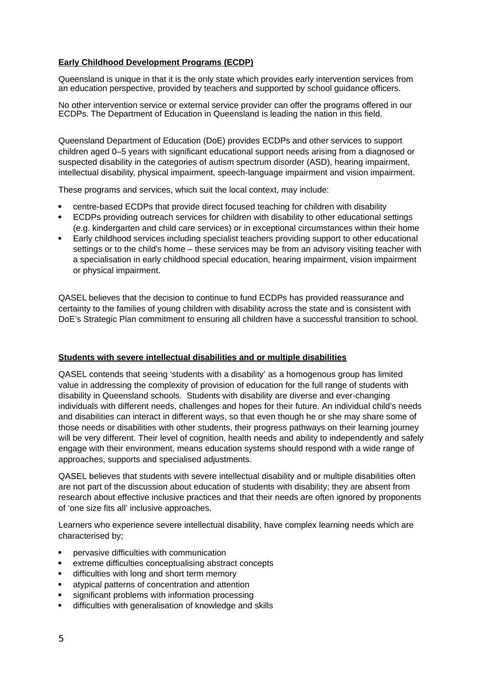## **Early Childhood Development Programs (ECDP)**

Queensland is unique in that it is the only state which provides early intervention services from an education perspective, provided by teachers and supported by school guidance officers.

No other intervention service or external service provider can offer the programs offered in our ECDPs. The Department of Education in Queensland is leading the nation in this field.

Queensland Department of Education (DoE) provides ECDPs and other services to support children aged 0–5 years with significant educational support needs arising from a diagnosed or suspected disability in the categories of autism spectrum disorder (ASD), hearing impairment, intellectual disability, physical impairment, speech-language impairment and vision impairment.

These programs and services, which suit the local context, may include:

- centre-based ECDPs that provide direct focused teaching for children with disability
- ECDPs providing outreach services for children with disability to other educational settings (e.g. kindergarten and child care services) or in exceptional circumstances within their home
- Early childhood services including specialist teachers providing support to other educational settings or to the child's home – these services may be from an advisory visiting teacher with a specialisation in early childhood special education, hearing impairment, vision impairment or physical impairment.

QASEL believes that the decision to continue to fund ECDPs has provided reassurance and certainty to the families of young children with disability across the state and is consistent with DoE's Strategic Plan commitment to ensuring all children have a successful transition to school.

## **Students with severe intellectual disabilities and or multiple disabilities**

QASEL contends that seeing 'students with a disability' as a homogenous group has limited value in addressing the complexity of provision of education for the full range of students with disability in Queensland schools. Students with disability are diverse and ever-changing individuals with different needs, challenges and hopes for their future. An individual child's needs and disabilities can interact in different ways, so that even though he or she may share some of those needs or disabilities with other students, their progress pathways on their learning journey will be very different. Their level of cognition, health needs and ability to independently and safely engage with their environment, means education systems should respond with a wide range of approaches, supports and specialised adjustments.

QASEL believes that students with severe intellectual disability and or multiple disabilities often are not part of the discussion about education of students with disability; they are absent from research about effective inclusive practices and that their needs are often ignored by proponents of 'one size fits all' inclusive approaches.

Learners who experience severe intellectual disability, have complex learning needs which are characterised by;

- pervasive difficulties with communication
- extreme difficulties conceptualising abstract concepts
- difficulties with long and short term memory
- atypical patterns of concentration and attention
- significant problems with information processing
- difficulties with generalisation of knowledge and skills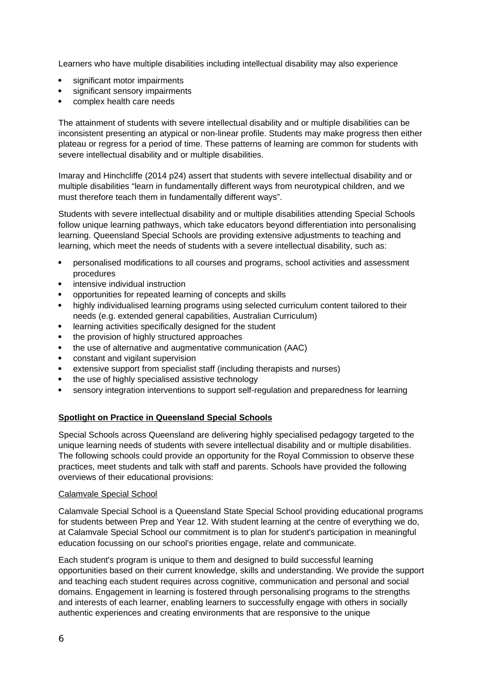Learners who have multiple disabilities including intellectual disability may also experience

- significant motor impairments
- significant sensory impairments
- complex health care needs

The attainment of students with severe intellectual disability and or multiple disabilities can be inconsistent presenting an atypical or non-linear profile. Students may make progress then either plateau or regress for a period of time. These patterns of learning are common for students with severe intellectual disability and or multiple disabilities.

Imaray and Hinchcliffe (2014 p24) assert that students with severe intellectual disability and or multiple disabilities "learn in fundamentally different ways from neurotypical children, and we must therefore teach them in fundamentally different ways".

Students with severe intellectual disability and or multiple disabilities attending Special Schools follow unique learning pathways, which take educators beyond differentiation into personalising learning. Queensland Special Schools are providing extensive adjustments to teaching and learning, which meet the needs of students with a severe intellectual disability, such as:

- personalised modifications to all courses and programs, school activities and assessment procedures
- intensive individual instruction
- opportunities for repeated learning of concepts and skills
- highly individualised learning programs using selected curriculum content tailored to their needs (e.g. extended general capabilities, Australian Curriculum)
- learning activities specifically designed for the student
- the provision of highly structured approaches
- the use of alternative and augmentative communication (AAC)
- constant and vigilant supervision
- extensive support from specialist staff (including therapists and nurses)
- the use of highly specialised assistive technology
- sensory integration interventions to support self-regulation and preparedness for learning

## **Spotlight on Practice in Queensland Special Schools**

Special Schools across Queensland are delivering highly specialised pedagogy targeted to the unique learning needs of students with severe intellectual disability and or multiple disabilities. The following schools could provide an opportunity for the Royal Commission to observe these practices, meet students and talk with staff and parents. Schools have provided the following overviews of their educational provisions:

#### Calamvale Special School

Calamvale Special School is a Queensland State Special School providing educational programs for students between Prep and Year 12. With student learning at the centre of everything we do, at Calamvale Special School our commitment is to plan for student's participation in meaningful education focussing on our school's priorities engage, relate and communicate.

Each student's program is unique to them and designed to build successful learning opportunities based on their current knowledge, skills and understanding. We provide the support and teaching each student requires across cognitive, communication and personal and social domains. Engagement in learning is fostered through personalising programs to the strengths and interests of each learner, enabling learners to successfully engage with others in socially authentic experiences and creating environments that are responsive to the unique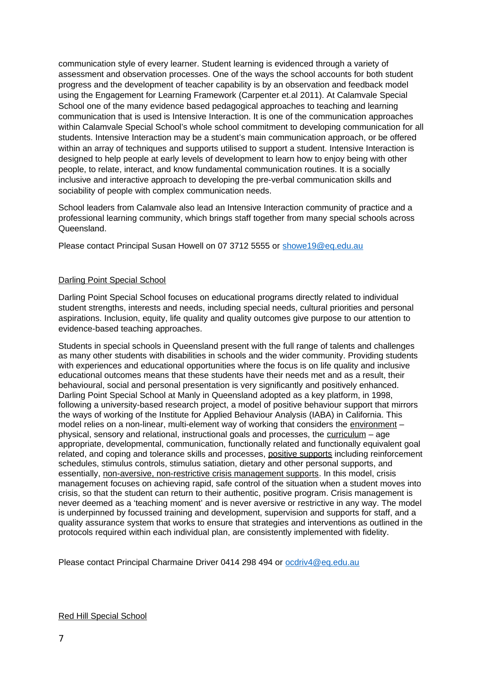communication style of every learner. Student learning is evidenced through a variety of assessment and observation processes. One of the ways the school accounts for both student progress and the development of teacher capability is by an observation and feedback model using the Engagement for Learning Framework (Carpenter et.al 2011). At Calamvale Special School one of the many evidence based pedagogical approaches to teaching and learning communication that is used is Intensive Interaction. It is one of the communication approaches within Calamvale Special School's whole school commitment to developing communication for all students. Intensive Interaction may be a student's main communication approach, or be offered within an array of techniques and supports utilised to support a student. Intensive Interaction is designed to help people at early levels of development to learn how to enjoy being with other people, to relate, interact, and know fundamental communication routines. It is a socially inclusive and interactive approach to developing the pre-verbal communication skills and sociability of people with complex communication needs.

School leaders from Calamvale also lead an Intensive Interaction community of practice and a professional learning community, which brings staff together from many special schools across Queensland.

Please contact Principal Susan Howell on 07 3712 5555 or [showe19@eq.edu.au](mailto:showe19@eq.edu.au)

## Darling Point Special School

Darling Point Special School focuses on educational programs directly related to individual student strengths, interests and needs, including special needs, cultural priorities and personal aspirations. Inclusion, equity, life quality and quality outcomes give purpose to our attention to evidence-based teaching approaches.

Students in special schools in Queensland present with the full range of talents and challenges as many other students with disabilities in schools and the wider community. Providing students with experiences and educational opportunities where the focus is on life quality and inclusive educational outcomes means that these students have their needs met and as a result, their behavioural, social and personal presentation is very significantly and positively enhanced. Darling Point Special School at Manly in Queensland adopted as a key platform, in 1998, following a university-based research project, a model of positive behaviour support that mirrors the ways of working of the Institute for Applied Behaviour Analysis (IABA) in California. This model relies on a non-linear, multi-element way of working that considers the environment – physical, sensory and relational, instructional goals and processes, the curriculum – age appropriate, developmental, communication, functionally related and functionally equivalent goal related, and coping and tolerance skills and processes, positive supports including reinforcement schedules, stimulus controls, stimulus satiation, dietary and other personal supports, and essentially, non-aversive, non-restrictive crisis management supports. In this model, crisis management focuses on achieving rapid, safe control of the situation when a student moves into crisis, so that the student can return to their authentic, positive program. Crisis management is never deemed as a 'teaching moment' and is never aversive or restrictive in any way. The model is underpinned by focussed training and development, supervision and supports for staff, and a quality assurance system that works to ensure that strategies and interventions as outlined in the protocols required within each individual plan, are consistently implemented with fidelity.

Please contact Principal Charmaine Driver 0414 298 494 or [ocdriv4@eq.edu.au](mailto:ocdriv4@eq.edu.au)

#### Red Hill Special School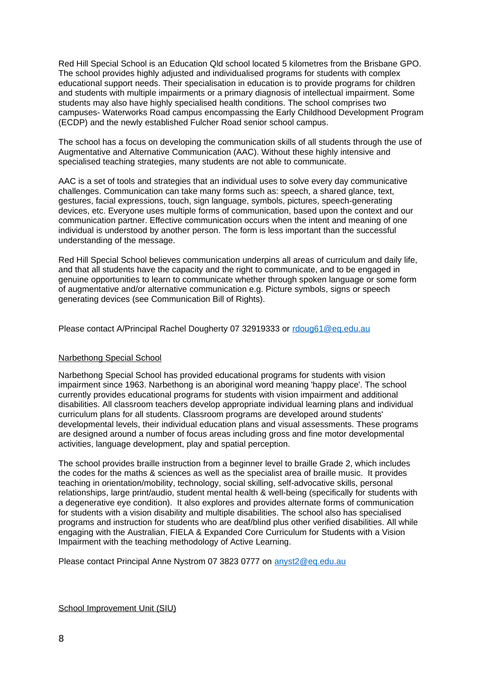Red Hill Special School is an Education Qld school located 5 kilometres from the Brisbane GPO. The school provides highly adjusted and individualised programs for students with complex educational support needs. Their specialisation in education is to provide programs for children and students with multiple impairments or a primary diagnosis of intellectual impairment. Some students may also have highly specialised health conditions. The school comprises two campuses- Waterworks Road campus encompassing the Early Childhood Development Program (ECDP) and the newly established Fulcher Road senior school campus.

The school has a focus on developing the communication skills of all students through the use of Augmentative and Alternative Communication (AAC). Without these highly intensive and specialised teaching strategies, many students are not able to communicate.

AAC is a set of tools and strategies that an individual uses to solve every day communicative challenges. Communication can take many forms such as: speech, a shared glance, text, gestures, facial expressions, touch, sign language, symbols, pictures, speech-generating devices, etc. Everyone uses multiple forms of communication, based upon the context and our communication partner. Effective communication occurs when the intent and meaning of one individual is understood by another person. The form is less important than the successful understanding of the message.

Red Hill Special School believes communication underpins all areas of curriculum and daily life, and that all students have the capacity and the right to communicate, and to be engaged in genuine opportunities to learn to communicate whether through spoken language or some form of augmentative and/or alternative communication e.g. Picture symbols, signs or speech generating devices (see Communication Bill of Rights).

Please contact A/Principal Rachel Dougherty 07 32919333 or [rdoug61@eq.edu.au](mailto:rdoug61@eq.edu.au)

## Narbethong Special School

Narbethong Special School has provided educational programs for students with vision impairment since 1963. Narbethong is an aboriginal word meaning 'happy place'. The school currently provides educational programs for students with vision impairment and additional disabilities. All classroom teachers develop appropriate individual learning plans and individual curriculum plans for all students. Classroom programs are developed around students' developmental levels, their individual education plans and visual assessments. These programs are designed around a number of focus areas including gross and fine motor developmental activities, language development, play and spatial perception.

The school provides braille instruction from a beginner level to braille Grade 2, which includes the codes for the maths & sciences as well as the specialist area of braille music. It provides teaching in orientation/mobility, technology, social skilling, self-advocative skills, personal relationships, large print/audio, student mental health & well-being (specifically for students with a degenerative eye condition). It also explores and provides alternate forms of communication for students with a vision disability and multiple disabilities. The school also has specialised programs and instruction for students who are deaf/blind plus other verified disabilities. All while engaging with the Australian, FIELA & Expanded Core Curriculum for Students with a Vision Impairment with the teaching methodology of Active Learning.

Please contact Principal Anne Nystrom 07 3823 0777 on [anyst2@eq.edu.au](mailto:anyst2@eq.edu.au)

School Improvement Unit (SIU)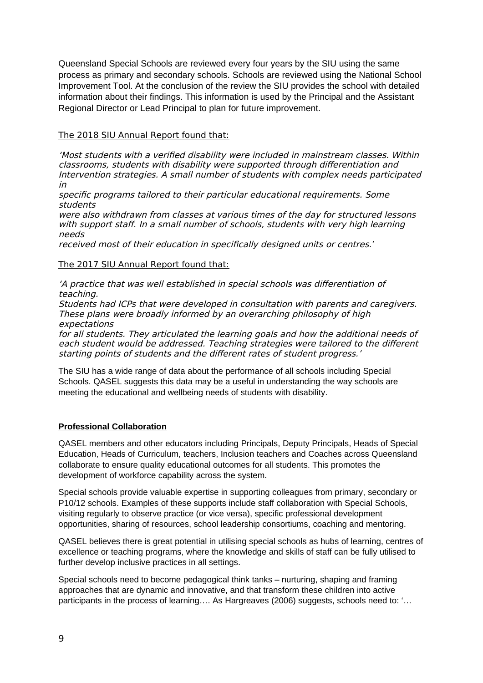Queensland Special Schools are reviewed every four years by the SIU using the same process as primary and secondary schools. Schools are reviewed using the National School Improvement Tool. At the conclusion of the review the SIU provides the school with detailed information about their findings. This information is used by the Principal and the Assistant Regional Director or Lead Principal to plan for future improvement.

# The 2018 SIU Annual Report found that:

'Most students with a verified disability were included in mainstream classes. Within classrooms, students with disability were supported through differentiation and Intervention strategies. A small number of students with complex needs participated in

specific programs tailored to their particular educational requirements. Some students

were also withdrawn from classes at various times of the day for structured lessons with support staff. In a small number of schools, students with very high learning needs

received most of their education in specifically designed units or centres.'

## The 2017 SIU Annual Report found that:

'A practice that was well established in special schools was differentiation of teaching.

Students had ICPs that were developed in consultation with parents and caregivers. These plans were broadly informed by an overarching philosophy of high expectations

for all students. They articulated the learning goals and how the additional needs of each student would be addressed. Teaching strategies were tailored to the different starting points of students and the different rates of student progress.'

The SIU has a wide range of data about the performance of all schools including Special Schools. QASEL suggests this data may be a useful in understanding the way schools are meeting the educational and wellbeing needs of students with disability.

## **Professional Collaboration**

QASEL members and other educators including Principals, Deputy Principals, Heads of Special Education, Heads of Curriculum, teachers, Inclusion teachers and Coaches across Queensland collaborate to ensure quality educational outcomes for all students. This promotes the development of workforce capability across the system.

Special schools provide valuable expertise in supporting colleagues from primary, secondary or P10/12 schools. Examples of these supports include staff collaboration with Special Schools, visiting regularly to observe practice (or vice versa), specific professional development opportunities, sharing of resources, school leadership consortiums, coaching and mentoring.

QASEL believes there is great potential in utilising special schools as hubs of learning, centres of excellence or teaching programs, where the knowledge and skills of staff can be fully utilised to further develop inclusive practices in all settings.

Special schools need to become pedagogical think tanks – nurturing, shaping and framing approaches that are dynamic and innovative, and that transform these children into active participants in the process of learning.... As Hargreaves (2006) suggests, schools need to: '...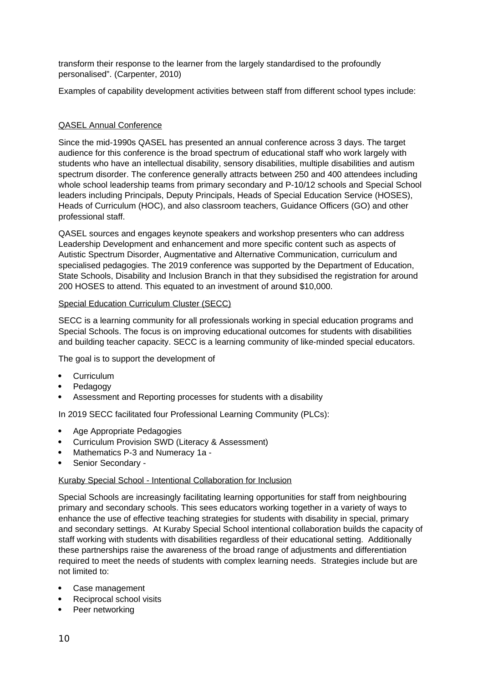transform their response to the learner from the largely standardised to the profoundly personalised". (Carpenter, 2010)

Examples of capability development activities between staff from different school types include:

## QASEL Annual Conference

Since the mid-1990s QASEL has presented an annual conference across 3 days. The target audience for this conference is the broad spectrum of educational staff who work largely with students who have an intellectual disability, sensory disabilities, multiple disabilities and autism spectrum disorder. The conference generally attracts between 250 and 400 attendees including whole school leadership teams from primary secondary and P-10/12 schools and Special School leaders including Principals, Deputy Principals, Heads of Special Education Service (HOSES), Heads of Curriculum (HOC), and also classroom teachers, Guidance Officers (GO) and other professional staff.

QASEL sources and engages keynote speakers and workshop presenters who can address Leadership Development and enhancement and more specific content such as aspects of Autistic Spectrum Disorder, Augmentative and Alternative Communication, curriculum and specialised pedagogies. The 2019 conference was supported by the Department of Education, State Schools, Disability and Inclusion Branch in that they subsidised the registration for around 200 HOSES to attend. This equated to an investment of around \$10,000.

#### Special Education Curriculum Cluster (SECC)

SECC is a learning community for all professionals working in special education programs and Special Schools. The focus is on improving educational outcomes for students with disabilities and building teacher capacity. SECC is a learning community of like-minded special educators.

The goal is to support the development of

- Curriculum
- Pedagogy
- Assessment and Reporting processes for students with a disability

In 2019 SECC facilitated four Professional Learning Community (PLCs):

- Age Appropriate Pedagogies
- Curriculum Provision SWD (Literacy & Assessment)
- Mathematics P-3 and Numeracy 1a -
- Senior Secondary -

#### Kuraby Special School - Intentional Collaboration for Inclusion

Special Schools are increasingly facilitating learning opportunities for staff from neighbouring primary and secondary schools. This sees educators working together in a variety of ways to enhance the use of effective teaching strategies for students with disability in special, primary and secondary settings. At Kuraby Special School intentional collaboration builds the capacity of staff working with students with disabilities regardless of their educational setting. Additionally these partnerships raise the awareness of the broad range of adjustments and differentiation required to meet the needs of students with complex learning needs. Strategies include but are not limited to:

- Case management
- Reciprocal school visits
- Peer networking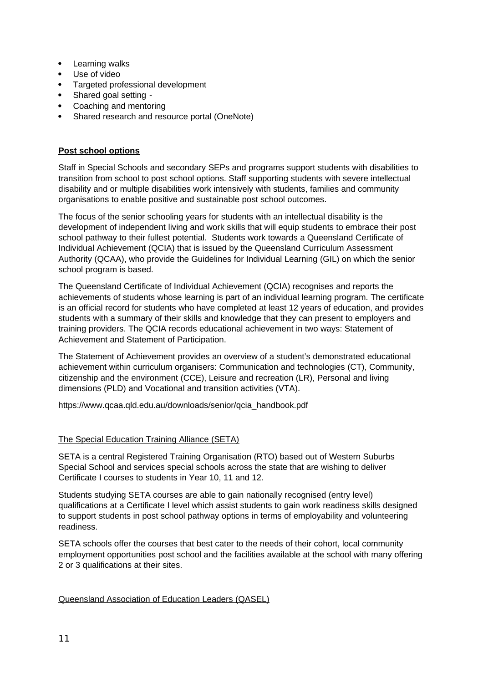- Learning walks
- Use of video
- Targeted professional development
- Shared goal setting -
- Coaching and mentoring
- Shared research and resource portal (OneNote)

## **Post school options**

Staff in Special Schools and secondary SEPs and programs support students with disabilities to transition from school to post school options. Staff supporting students with severe intellectual disability and or multiple disabilities work intensively with students, families and community organisations to enable positive and sustainable post school outcomes.

The focus of the senior schooling years for students with an intellectual disability is the development of independent living and work skills that will equip students to embrace their post school pathway to their fullest potential. Students work towards a Queensland Certificate of Individual Achievement (QCIA) that is issued by the Queensland Curriculum Assessment Authority (QCAA), who provide the Guidelines for Individual Learning (GIL) on which the senior school program is based.

The Queensland Certificate of Individual Achievement (QCIA) recognises and reports the achievements of students whose learning is part of an individual learning program. The certificate is an official record for students who have completed at least 12 years of education, and provides students with a summary of their skills and knowledge that they can present to employers and training providers. The QCIA records educational achievement in two ways: Statement of Achievement and Statement of Participation.

The Statement of Achievement provides an overview of a student's demonstrated educational achievement within curriculum organisers: Communication and technologies (CT), Community, citizenship and the environment (CCE), Leisure and recreation (LR), Personal and living dimensions (PLD) and Vocational and transition activities (VTA).

[https://www.qcaa.qld.edu.au/downloads/senior/qcia\\_handbook.pdf](https://www.qcaa.qld.edu.au/downloads/senior/qcia_handbook.pdf)

## The Special Education Training Alliance (SETA)

SETA is a central Registered Training Organisation (RTO) based out of Western Suburbs Special School and services special schools across the state that are wishing to deliver Certificate I courses to students in Year 10, 11 and 12.

Students studying SETA courses are able to gain nationally recognised (entry level) qualifications at a Certificate I level which assist students to gain work readiness skills designed to support students in post school pathway options in terms of employability and volunteering readiness.

SETA schools offer the courses that best cater to the needs of their cohort, local community employment opportunities post school and the facilities available at the school with many offering 2 or 3 qualifications at their sites.

#### Queensland Association of Education Leaders (QASEL)